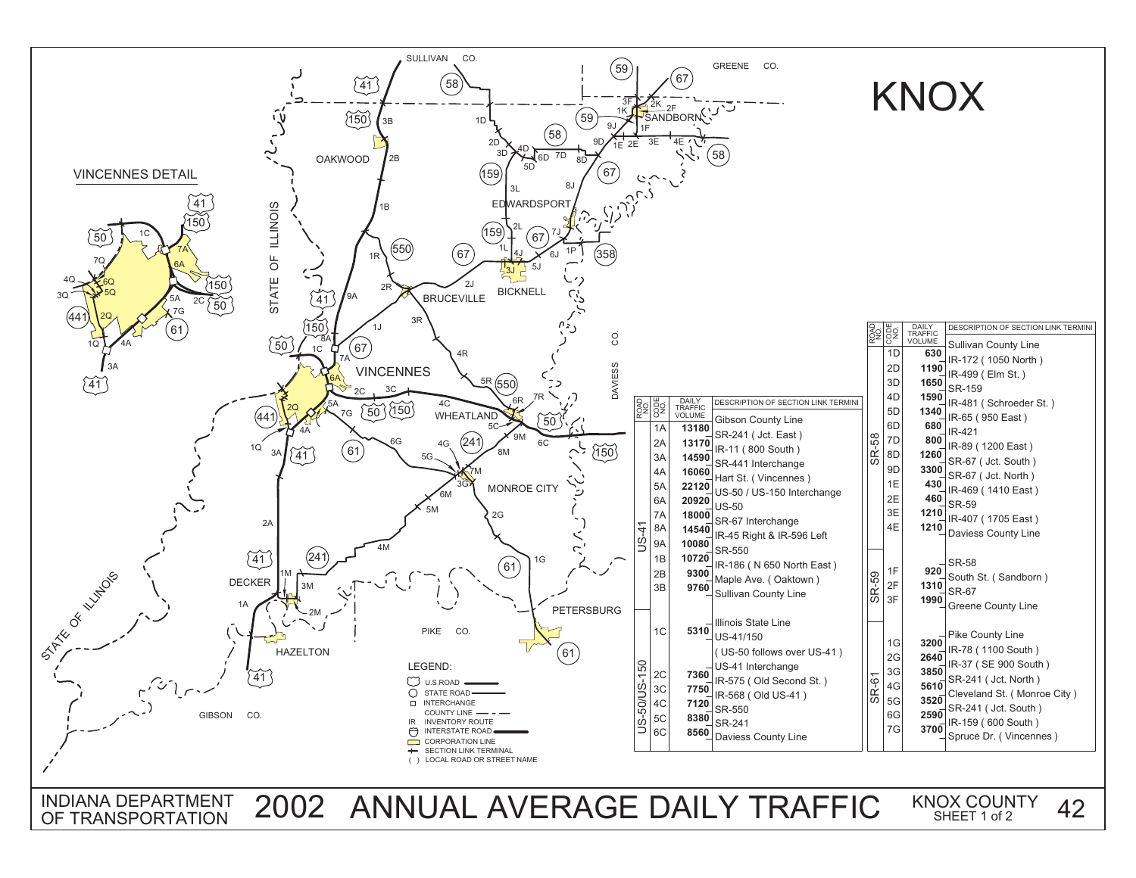